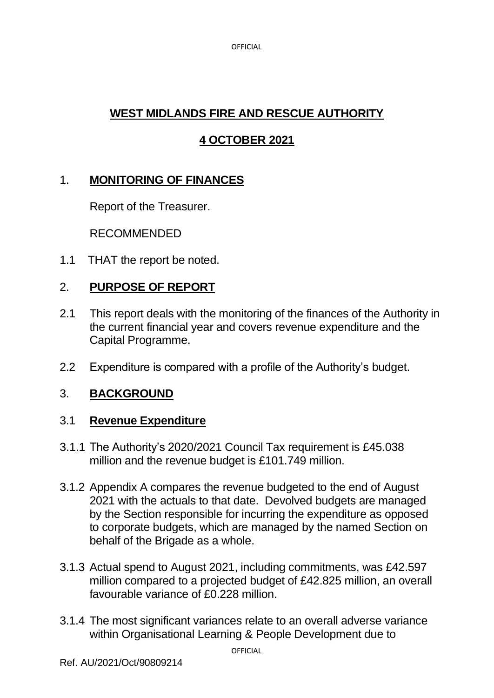OFFICIAL

# **WEST MIDLANDS FIRE AND RESCUE AUTHORITY**

# **4 OCTOBER 2021**

## 1. **MONITORING OF FINANCES**

Report of the Treasurer.

RECOMMENDED

1.1 THAT the report be noted.

## 2. **PURPOSE OF REPORT**

- 2.1 This report deals with the monitoring of the finances of the Authority in the current financial year and covers revenue expenditure and the Capital Programme.
- 2.2 Expenditure is compared with a profile of the Authority's budget.

### 3. **BACKGROUND**

### 3.1 **Revenue Expenditure**

- 3.1.1 The Authority's 2020/2021 Council Tax requirement is £45.038 million and the revenue budget is £101.749 million.
- 3.1.2 Appendix A compares the revenue budgeted to the end of August 2021 with the actuals to that date. Devolved budgets are managed by the Section responsible for incurring the expenditure as opposed to corporate budgets, which are managed by the named Section on behalf of the Brigade as a whole.
- 3.1.3 Actual spend to August 2021, including commitments, was £42.597 million compared to a projected budget of £42.825 million, an overall favourable variance of £0.228 million.
- 3.1.4 The most significant variances relate to an overall adverse variance within Organisational Learning & People Development due to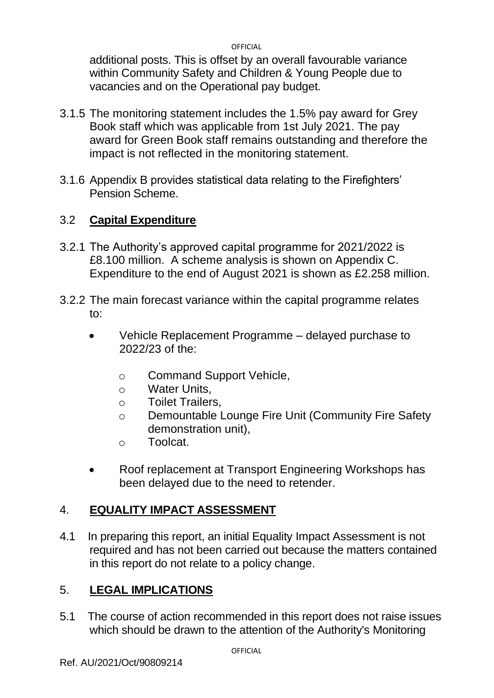OFFICIAL

additional posts. This is offset by an overall favourable variance within Community Safety and Children & Young People due to vacancies and on the Operational pay budget.

- 3.1.5 The monitoring statement includes the 1.5% pay award for Grey Book staff which was applicable from 1st July 2021. The pay award for Green Book staff remains outstanding and therefore the impact is not reflected in the monitoring statement.
- 3.1.6 Appendix B provides statistical data relating to the Firefighters' Pension Scheme.

## 3.2 **Capital Expenditure**

- 3.2.1 The Authority's approved capital programme for 2021/2022 is £8.100 million. A scheme analysis is shown on Appendix C. Expenditure to the end of August 2021 is shown as £2.258 million.
- 3.2.2 The main forecast variance within the capital programme relates to:
	- Vehicle Replacement Programme delayed purchase to 2022/23 of the:
		- o Command Support Vehicle,
		- o Water Units,
		- o Toilet Trailers,
		- o Demountable Lounge Fire Unit (Community Fire Safety demonstration unit),
		- o Toolcat.
	- Roof replacement at Transport Engineering Workshops has been delayed due to the need to retender.

### 4. **EQUALITY IMPACT ASSESSMENT**

4.1 In preparing this report, an initial Equality Impact Assessment is not required and has not been carried out because the matters contained in this report do not relate to a policy change.

### 5. **LEGAL IMPLICATIONS**

5.1 The course of action recommended in this report does not raise issues which should be drawn to the attention of the Authority's Monitoring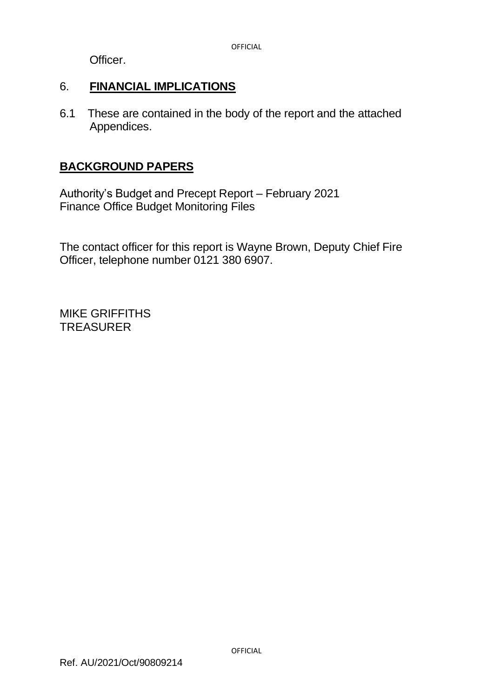Officer.

### 6. **FINANCIAL IMPLICATIONS**

6.1 These are contained in the body of the report and the attached Appendices.

### **BACKGROUND PAPERS**

Authority's Budget and Precept Report – February 2021 Finance Office Budget Monitoring Files

The contact officer for this report is Wayne Brown, Deputy Chief Fire Officer, telephone number 0121 380 6907.

MIKE GRIFFITHS **TREASURER**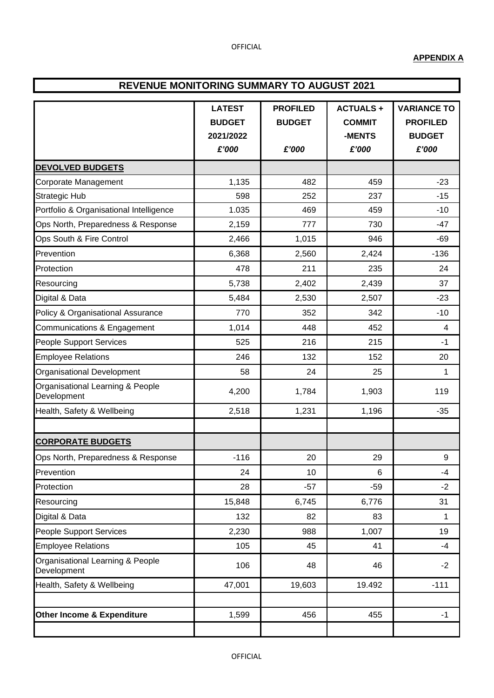#### **APPENDIX A**

#### **REVENUE MONITORING SUMMARY TO AUGUST 2021**

|                                                 | <b>LATEST</b><br><b>BUDGET</b><br>2021/2022 | <b>PROFILED</b><br><b>BUDGET</b> | <b>ACTUALS+</b><br><b>COMMIT</b><br>-MENTS | <b>VARIANCE TO</b><br><b>PROFILED</b><br><b>BUDGET</b> |  |
|-------------------------------------------------|---------------------------------------------|----------------------------------|--------------------------------------------|--------------------------------------------------------|--|
|                                                 | £'000                                       | £'000                            | £'000                                      | £'000                                                  |  |
| <b>DEVOLVED BUDGETS</b>                         |                                             |                                  |                                            |                                                        |  |
| Corporate Management                            | 1,135                                       | 482                              | 459                                        | $-23$                                                  |  |
| <b>Strategic Hub</b>                            | 598                                         | 252                              | 237                                        | $-15$                                                  |  |
| Portfolio & Organisational Intelligence         | 1.035                                       | 469                              | 459                                        | $-10$                                                  |  |
| Ops North, Preparedness & Response              | 2,159                                       | 777                              | 730                                        | -47                                                    |  |
| Ops South & Fire Control                        | 2,466                                       | 1,015                            | 946                                        | $-69$                                                  |  |
| Prevention                                      | 6,368                                       | 2,560                            | 2,424                                      | $-136$                                                 |  |
| Protection                                      | 478                                         | 211                              | 235                                        | 24                                                     |  |
| Resourcing                                      | 5,738                                       | 2,402                            | 2,439                                      | 37                                                     |  |
| Digital & Data                                  | 5,484                                       | 2,530                            | 2,507                                      | $-23$                                                  |  |
| Policy & Organisational Assurance               | 770                                         | 352                              | 342                                        | $-10$                                                  |  |
| Communications & Engagement                     | 1,014                                       | 448                              | 452                                        | 4                                                      |  |
| People Support Services                         | 525                                         | 216                              | 215                                        | $-1$                                                   |  |
| <b>Employee Relations</b>                       | 246                                         | 132                              | 152                                        | 20                                                     |  |
| <b>Organisational Development</b>               | 58                                          | 24                               | 25                                         | 1                                                      |  |
| Organisational Learning & People<br>Development | 4,200                                       | 1,784                            | 1,903                                      | 119                                                    |  |
| Health, Safety & Wellbeing                      | 2,518                                       | 1,231                            | 1,196                                      | $-35$                                                  |  |
|                                                 |                                             |                                  |                                            |                                                        |  |
| <b>CORPORATE BUDGETS</b>                        |                                             |                                  |                                            |                                                        |  |
| Ops North, Preparedness & Response              | $-116$                                      | 20                               | 29                                         | 9                                                      |  |
| Prevention                                      | 24                                          | 10                               | 6                                          | $-4$                                                   |  |
| Protection                                      | 28                                          | $-57$                            | $-59$                                      | $-2$                                                   |  |
| Resourcing                                      | 15,848                                      | 6,745                            | 6,776                                      | 31                                                     |  |
| Digital & Data                                  | 132                                         | 82                               | 83                                         | 1                                                      |  |
| People Support Services                         | 2,230                                       | 988                              | 1,007                                      | 19                                                     |  |
| <b>Employee Relations</b>                       | 105                                         | 45                               | 41                                         | $-4$                                                   |  |
| Organisational Learning & People<br>Development | 106                                         | 48                               | 46                                         | $-2$                                                   |  |
| Health, Safety & Wellbeing                      | 47,001                                      | 19,603                           | 19.492                                     | $-111$                                                 |  |
|                                                 |                                             |                                  |                                            |                                                        |  |
| Other Income & Expenditure                      | 1,599                                       | 456                              | 455                                        | $-1$                                                   |  |
|                                                 |                                             |                                  |                                            |                                                        |  |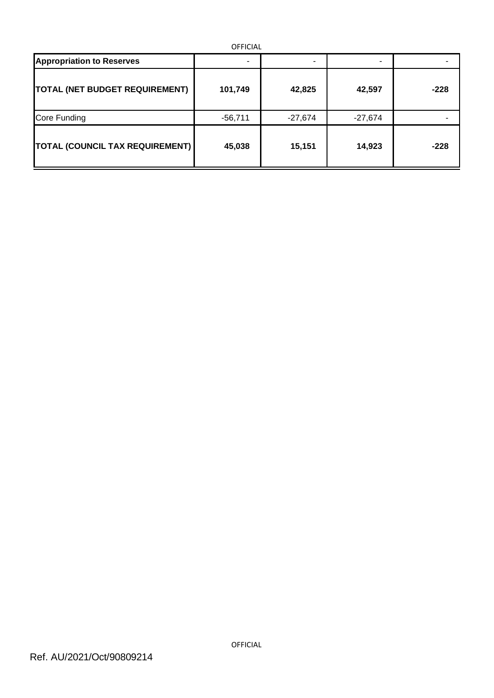| <b>OFFICIAL</b>                        |           |           |           |        |  |  |  |  |
|----------------------------------------|-----------|-----------|-----------|--------|--|--|--|--|
| <b>Appropriation to Reserves</b>       | ٠         | ۰         |           |        |  |  |  |  |
| <b>TOTAL (NET BUDGET REQUIREMENT)</b>  | 101,749   | 42,825    | 42,597    | $-228$ |  |  |  |  |
| Core Funding                           | $-56,711$ | $-27,674$ | $-27,674$ |        |  |  |  |  |
| <b>TOTAL (COUNCIL TAX REQUIREMENT)</b> | 45,038    | 15,151    | 14,923    | $-228$ |  |  |  |  |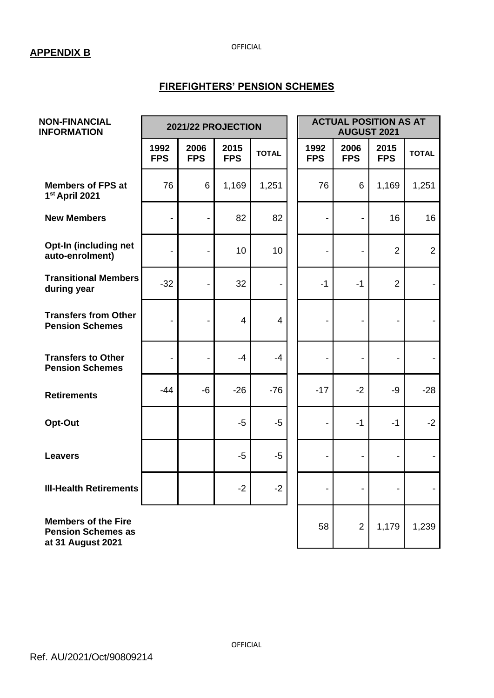#### **APPENDIX B**

OFFICIAL

#### **FIREFIGHTERS' PENSION SCHEMES**

| <b>NON-FINANCIAL</b><br><b>INFORMATION</b>                                   | 2021/22 PROJECTION           |                          |                    |                | <b>ACTUAL POSITION AS AT</b><br><b>AUGUST 2021</b> |                              |                          |                |
|------------------------------------------------------------------------------|------------------------------|--------------------------|--------------------|----------------|----------------------------------------------------|------------------------------|--------------------------|----------------|
|                                                                              | 1992<br><b>FPS</b>           | 2006<br><b>FPS</b>       | 2015<br><b>FPS</b> | <b>TOTAL</b>   | 1992<br><b>FPS</b>                                 | 2006<br><b>FPS</b>           | 2015<br><b>FPS</b>       | <b>TOTAL</b>   |
| <b>Members of FPS at</b><br>1st April 2021                                   | 76                           | 6                        | 1,169              | 1,251          | 76                                                 | 6                            | 1,169                    | 1,251          |
| <b>New Members</b>                                                           | $\qquad \qquad \blacksquare$ | $\overline{a}$           | 82                 | 82             | $\overline{a}$                                     | $\blacksquare$               | 16                       | 16             |
| Opt-In (including net<br>auto-enrolment)                                     | $\overline{\phantom{0}}$     | $\overline{\phantom{0}}$ | 10                 | 10             | Ē,                                                 | $\blacksquare$               | $\overline{2}$           | $\overline{2}$ |
| <b>Transitional Members</b><br>during year                                   | $-32$                        |                          | 32                 |                | $-1$                                               | $-1$                         | $\overline{2}$           |                |
| <b>Transfers from Other</b><br><b>Pension Schemes</b>                        | $\qquad \qquad \blacksquare$ |                          | $\overline{4}$     | $\overline{4}$ |                                                    | $\blacksquare$               | $\overline{\phantom{a}}$ |                |
| <b>Transfers to Other</b><br><b>Pension Schemes</b>                          | $\overline{\phantom{0}}$     | $\overline{a}$           | $-4$               | $-4$           |                                                    | $\overline{a}$               | $\overline{a}$           |                |
| <b>Retirements</b>                                                           | $-44$                        | $-6$                     | $-26$              | $-76$          | $-17$                                              | $-2$                         | $-9$                     | $-28$          |
| Opt-Out                                                                      |                              |                          | $-5$               | $-5$           |                                                    | $-1$                         | $-1$                     | $-2$           |
| <b>Leavers</b>                                                               |                              |                          | $-5$               | $-5$           |                                                    | $\overline{\phantom{0}}$     |                          |                |
| <b>III-Health Retirements</b>                                                |                              |                          | $-2$               | $-2$           | -                                                  | $\qquad \qquad \blacksquare$ |                          |                |
| <b>Members of the Fire</b><br><b>Pension Schemes as</b><br>at 31 August 2021 |                              |                          |                    |                | 58                                                 | $\overline{2}$               | 1,179                    | 1,239          |